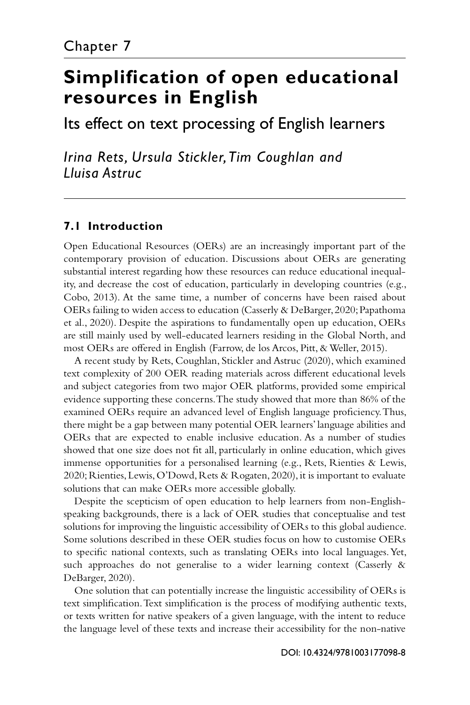# **[Simplification of open educational](#page--1-0) resources in English**

Its effect on text processing of English learners

*Irina Rets, Ursula Stickler, Tim Coughlan and Lluisa Astruc*

# **7.1 Introduction**

Open Educational Resources (OERs) are an increasingly important part of the contemporary provision of education. Discussions about OERs are generating substantial interest regarding how these resources can reduce educational inequality, and decrease the cost of education, particularly in developing countries (e.g., Cobo, 2013). At the same time, a number of concerns have been raised about OERs failing to widen access to education (Casserly & DeBarger, 2020; Papathoma et al., 2020). Despite the aspirations to fundamentally open up education, OERs are still mainly used by well-educated learners residing in the Global North, and most OERs are offered in English (Farrow, de los Arcos, Pitt, & Weller, 2015).

A recent study by Rets, Coughlan, Stickler and Astruc (2020), which examined text complexity of 200 OER reading materials across different educational levels and subject categories from two major OER platforms, provided some empirical evidence supporting these concerns. The study showed that more than 86% of the examined OERs require an advanced level of English language proficiency. Thus, there might be a gap between many potential OER learners' language abilities and OERs that are expected to enable inclusive education. As a number of studies showed that one size does not fit all, particularly in online education, which gives immense opportunities for a personalised learning (e.g., Rets, Rienties & Lewis, 2020; Rienties, Lewis, O'Dowd, Rets & Rogaten, 2020), it is important to evaluate solutions that can make OERs more accessible globally.

Despite the scepticism of open education to help learners from non-Englishspeaking backgrounds, there is a lack of OER studies that conceptualise and test solutions for improving the linguistic accessibility of OERs to this global audience. Some solutions described in these OER studies focus on how to customise OERs to specific national contexts, such as translating OERs into local languages. Yet, such approaches do not generalise to a wider learning context (Casserly & DeBarger, 2020).

One solution that can potentially increase the linguistic accessibility of OERs is text simplification. Text simplification is the process of modifying authentic texts, or texts written for native speakers of a given language, with the intent to reduce the language level of these texts and increase their accessibility for the non-native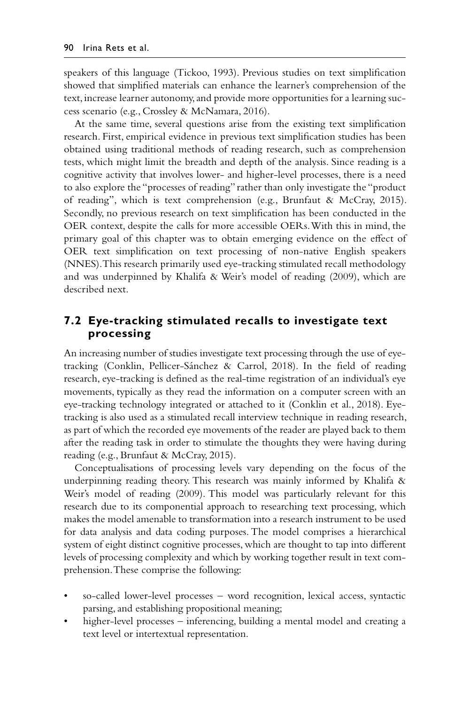speakers of this language (Tickoo, 1993). Previous studies on text simplification showed that simplified materials can enhance the learner's comprehension of the text, increase learner autonomy, and provide more opportunities for a learning success scenario (e.g., Crossley & McNamara, 2016).

At the same time, several questions arise from the existing text simplification research. First, empirical evidence in previous text simplification studies has been obtained using traditional methods of reading research, such as comprehension tests, which might limit the breadth and depth of the analysis. Since reading is a cognitive activity that involves lower- and higher-level processes, there is a need to also explore the "processes of reading" rather than only investigate the "product of reading", which is text comprehension (e.g., Brunfaut & McCray, 2015). Secondly, no previous research on text simplification has been conducted in the OER context, despite the calls for more accessible OERs. With this in mind, the primary goal of this chapter was to obtain emerging evidence on the effect of OER text simplification on text processing of non-native English speakers (NNES). This research primarily used eye-tracking stimulated recall methodology and was underpinned by Khalifa & Weir's model of reading (2009), which are described next.

# **7.2 Eye-tracking stimulated recalls to investigate text processing**

An increasing number of studies investigate text processing through the use of eyetracking (Conklin, Pellicer-Sánchez & Carrol, 2018). In the field of reading research, eye-tracking is defined as the real-time registration of an individual's eye movements, typically as they read the information on a computer screen with an eye-tracking technology integrated or attached to it (Conklin et al., 2018). Eyetracking is also used as a stimulated recall interview technique in reading research, as part of which the recorded eye movements of the reader are played back to them after the reading task in order to stimulate the thoughts they were having during reading (e.g., Brunfaut & McCray, 2015).

Conceptualisations of processing levels vary depending on the focus of the underpinning reading theory. This research was mainly informed by Khalifa  $\&$ Weir's model of reading (2009). This model was particularly relevant for this research due to its componential approach to researching text processing, which makes the model amenable to transformation into a research instrument to be used for data analysis and data coding purposes. The model comprises a hierarchical system of eight distinct cognitive processes, which are thought to tap into different levels of processing complexity and which by working together result in text comprehension. These comprise the following:

- so-called lower-level processes word recognition, lexical access, syntactic parsing, and establishing propositional meaning;
- higher-level processes inferencing, building a mental model and creating a text level or intertextual representation.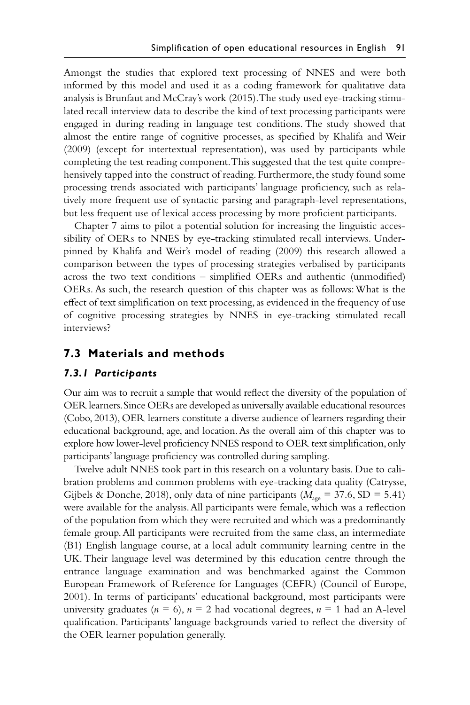Amongst the studies that explored text processing of NNES and were both informed by this model and used it as a coding framework for qualitative data analysis is Brunfaut and McCray's work (2015). The study used eye-tracking stimulated recall interview data to describe the kind of text processing participants were engaged in during reading in language test conditions. The study showed that almost the entire range of cognitive processes, as specified by Khalifa and Weir (2009) (except for intertextual representation), was used by participants while completing the test reading component. This suggested that the test quite comprehensively tapped into the construct of reading. Furthermore, the study found some processing trends associated with participants' language proficiency, such as relatively more frequent use of syntactic parsing and paragraph-level representations, but less frequent use of lexical access processing by more proficient participants.

Chapter 7 aims to pilot a potential solution for increasing the linguistic accessibility of OERs to NNES by eye-tracking stimulated recall interviews. Underpinned by Khalifa and Weir's model of reading (2009) this research allowed a comparison between the types of processing strategies verbalised by participants across the two text conditions – simplified OERs and authentic (unmodified) OERs. As such, the research question of this chapter was as follows: What is the effect of text simplification on text processing, as evidenced in the frequency of use of cognitive processing strategies by NNES in eye-tracking stimulated recall interviews?

# **7.3 Materials and methods**

### *7.3.1 Participants*

Our aim was to recruit a sample that would reflect the diversity of the population of OER learners. Since OERs are developed as universally available educational resources (Cobo, 2013), OER learners constitute a diverse audience of learners regarding their educational background, age, and location. As the overall aim of this chapter was to explore how lower-level proficiency NNES respond to OER text simplification, only participants' language proficiency was controlled during sampling.

Twelve adult NNES took part in this research on a voluntary basis. Due to calibration problems and common problems with eye-tracking data quality (Catrysse, Gijbels & Donche, 2018), only data of nine participants ( $M_{\text{age}} = 37.6$ , SD = 5.41) were available for the analysis. All participants were female, which was a reflection of the population from which they were recruited and which was a predominantly female group. All participants were recruited from the same class, an intermediate (B1) English language course, at a local adult community learning centre in the UK. Their language level was determined by this education centre through the entrance language examination and was benchmarked against the Common European Framework of Reference for Languages (CEFR) (Council of Europe, 2001). In terms of participants' educational background, most participants were university graduates ( $n = 6$ ),  $n = 2$  had vocational degrees,  $n = 1$  had an A-level qualification. Participants' language backgrounds varied to reflect the diversity of the OER learner population generally.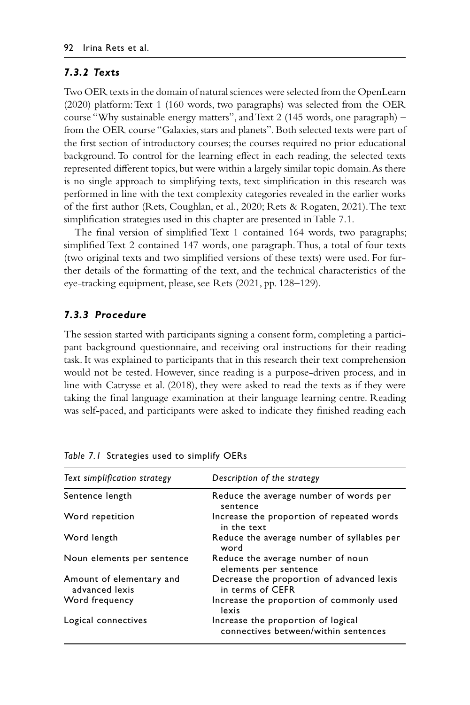## *7.3.2 Texts*

Two OER texts in the domain of natural sciences were selected from the OpenLearn (2020) platform: Text 1 (160 words, two paragraphs) was selected from the OER course "Why sustainable energy matters", and Text 2 (145 words, one paragraph) – from the OER course "Galaxies, stars and planets". Both selected texts were part of the first section of introductory courses; the courses required no prior educational background. To control for the learning effect in each reading, the selected texts represented different topics, but were within a largely similar topic domain. As there is no single approach to simplifying texts, text simplification in this research was performed in line with the text complexity categories revealed in the earlier works of the first author (Rets, Coughlan, et al., 2020; Rets & Rogaten, 2021). The text simplification strategies used in this chapter are presented in Table 7.1.

The final version of simplified Text 1 contained 164 words, two paragraphs; simplified Text 2 contained 147 words, one paragraph. Thus, a total of four texts (two original texts and two simplified versions of these texts) were used. For further details of the formatting of the text, and the technical characteristics of the eye-tracking equipment, please, see Rets (2021, pp. 128–129).

## *7.3.3 Procedure*

The session started with participants signing a consent form, completing a participant background questionnaire, and receiving oral instructions for their reading task. It was explained to participants that in this research their text comprehension would not be tested. However, since reading is a purpose-driven process, and in line with Catrysse et al. (2018), they were asked to read the texts as if they were taking the final language examination at their language learning centre. Reading was self-paced, and participants were asked to indicate they finished reading each

| Text simplification strategy               | Description of the strategy                                                |
|--------------------------------------------|----------------------------------------------------------------------------|
| Sentence length                            | Reduce the average number of words per<br>sentence                         |
| Word repetition                            | Increase the proportion of repeated words<br>in the text                   |
| Word length                                | Reduce the average number of syllables per<br>word                         |
| Noun elements per sentence                 | Reduce the average number of noun<br>elements per sentence                 |
| Amount of elementary and<br>advanced lexis | Decrease the proportion of advanced lexis<br>in terms of CEFR              |
| Word frequency                             | Increase the proportion of commonly used<br>lexis                          |
| Logical connectives                        | Increase the proportion of logical<br>connectives between/within sentences |
|                                            |                                                                            |

*Table 7.1* [Strategies used to simplify OERs](#page--1-0)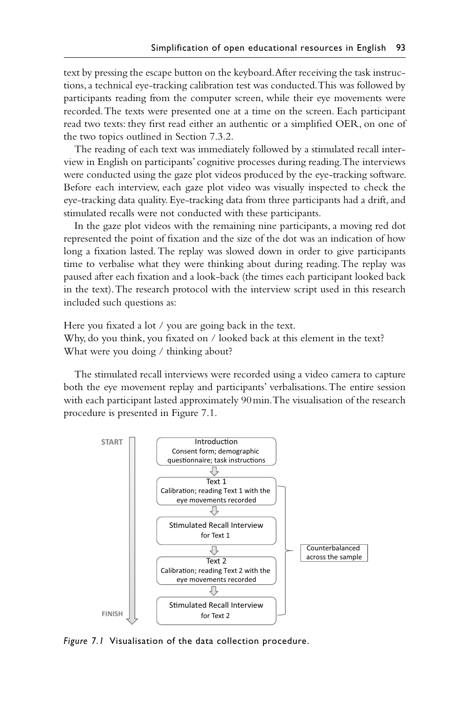text by pressing the escape button on the keyboard. After receiving the task instructions, a technical eye-tracking calibration test was conducted. This was followed by participants reading from the computer screen, while their eye movements were recorded. The texts were presented one at a time on the screen. Each participant read two texts: they first read either an authentic or a simplified OER, on one of the two topics outlined in Section 7.3.2.

The reading of each text was immediately followed by a stimulated recall interview in English on participants' cognitive processes during reading. The interviews were conducted using the gaze plot videos produced by the eye-tracking software. Before each interview, each gaze plot video was visually inspected to check the eye-tracking data quality. Eye-tracking data from three participants had a drift, and stimulated recalls were not conducted with these participants.

In the gaze plot videos with the remaining nine participants, a moving red dot represented the point of fixation and the size of the dot was an indication of how long a fixation lasted. The replay was slowed down in order to give participants time to verbalise what they were thinking about during reading. The replay was paused after each fixation and a look-back (the times each participant looked back in the text). The research protocol with the interview script used in this research included such questions as:

Here you fixated a lot / you are going back in the text. Why, do you think, you fixated on / looked back at this element in the text? What were you doing / thinking about?

The stimulated recall interviews were recorded using a video camera to capture both the eye movement replay and participants' verbalisations. The entire session with each participant lasted approximately 90min. The visualisation of the research procedure is presented in Figure 7.1.



*Figure 7.1* [Visualisation of the data collection procedure.](#page--1-0)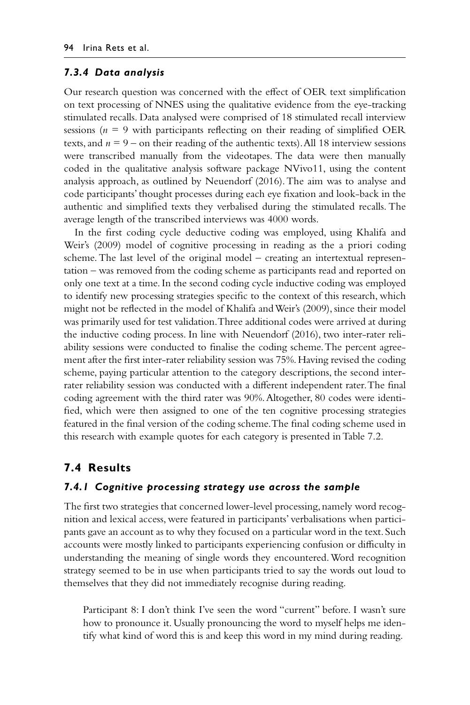#### *7.3.4 Data analysis*

Our research question was concerned with the effect of OER text simplification on text processing of NNES using the qualitative evidence from the eye-tracking stimulated recalls. Data analysed were comprised of 18 stimulated recall interview sessions ( $n = 9$  with participants reflecting on their reading of simplified OER texts, and  $n = 9$  – on their reading of the authentic texts). All 18 interview sessions were transcribed manually from the videotapes. The data were then manually coded in the qualitative analysis software package NVivo11, using the content analysis approach, as outlined by Neuendorf (2016). The aim was to analyse and code participants' thought processes during each eye fixation and look-back in the authentic and simplified texts they verbalised during the stimulated recalls. The average length of the transcribed interviews was 4000 words.

In the first coding cycle deductive coding was employed, using Khalifa and Weir's (2009) model of cognitive processing in reading as the a priori coding scheme. The last level of the original model – creating an intertextual representation – was removed from the coding scheme as participants read and reported on only one text at a time. In the second coding cycle inductive coding was employed to identify new processing strategies specific to the context of this research, which might not be reflected in the model of Khalifa and Weir's (2009), since their model was primarily used for test validation. Three additional codes were arrived at during the inductive coding process. In line with Neuendorf (2016), two inter-rater reliability sessions were conducted to finalise the coding scheme. The percent agreement after the first inter-rater reliability session was 75%. Having revised the coding scheme, paying particular attention to the category descriptions, the second interrater reliability session was conducted with a different independent rater. The final coding agreement with the third rater was 90%. Altogether, 80 codes were identified, which were then assigned to one of the ten cognitive processing strategies featured in the final version of the coding scheme. The final coding scheme used in this research with example quotes for each category is presented in Table 7.2.

## **7.4 Results**

## *7.4.1 Cognitive processing strategy use across the sample*

The first two strategies that concerned lower-level processing, namely word recognition and lexical access, were featured in participants' verbalisations when participants gave an account as to why they focused on a particular word in the text. Such accounts were mostly linked to participants experiencing confusion or difficulty in understanding the meaning of single words they encountered. Word recognition strategy seemed to be in use when participants tried to say the words out loud to themselves that they did not immediately recognise during reading.

Participant 8: I don't think I've seen the word "current" before. I wasn't sure how to pronounce it. Usually pronouncing the word to myself helps me identify what kind of word this is and keep this word in my mind during reading.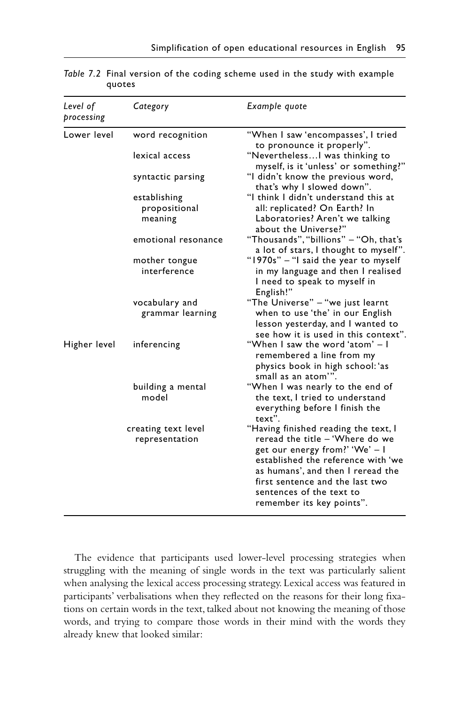| Level of<br>processing | Category                                 | Example quote                                                                                                                                                                                                                                                                    |
|------------------------|------------------------------------------|----------------------------------------------------------------------------------------------------------------------------------------------------------------------------------------------------------------------------------------------------------------------------------|
| Lower level            | word recognition                         | "When I saw 'encompasses', I tried<br>to pronounce it properly".                                                                                                                                                                                                                 |
|                        | lexical access                           | "Nevertheless I was thinking to<br>myself, is it 'unless' or something?"<br>"I didn't know the previous word,<br>that's why I slowed down".<br>"I think I didn't understand this at<br>all: replicated? On Earth? In<br>Laboratories? Aren't we talking<br>about the Universe?"  |
|                        | syntactic parsing                        |                                                                                                                                                                                                                                                                                  |
|                        | establishing<br>propositional<br>meaning |                                                                                                                                                                                                                                                                                  |
|                        | emotional resonance                      | "Thousands", "billions" - "Oh, that's<br>a lot of stars, I thought to myself".                                                                                                                                                                                                   |
|                        | mother tongue<br>interference            | "1970s" - "I said the year to myself<br>in my language and then I realised<br>I need to speak to myself in<br>English!"                                                                                                                                                          |
|                        | vocabulary and<br>grammar learning       | "The Universe" – "we just learnt<br>when to use 'the' in our English<br>lesson yesterday, and I wanted to<br>see how it is used in this context".                                                                                                                                |
| Higher level           | inferencing                              | "When I saw the word 'atom' – I<br>remembered a line from my<br>physics book in high school:'as<br>small as an atom"".                                                                                                                                                           |
|                        | building a mental<br>model               | "When I was nearly to the end of<br>the text, I tried to understand<br>everything before I finish the<br>text".                                                                                                                                                                  |
|                        | creating text level<br>representation    | "Having finished reading the text, I<br>reread the title - 'Where do we<br>get our energy from?' 'We' - I<br>established the reference with 'we<br>as humans', and then I reread the<br>first sentence and the last two<br>sentences of the text to<br>remember its key points". |

*Table 7.2* [Final version of the coding scheme used in the study with example](#page--1-0)  quotes

The evidence that participants used lower-level processing strategies when struggling with the meaning of single words in the text was particularly salient when analysing the lexical access processing strategy. Lexical access was featured in participants' verbalisations when they reflected on the reasons for their long fixations on certain words in the text, talked about not knowing the meaning of those words, and trying to compare those words in their mind with the words they already knew that looked similar: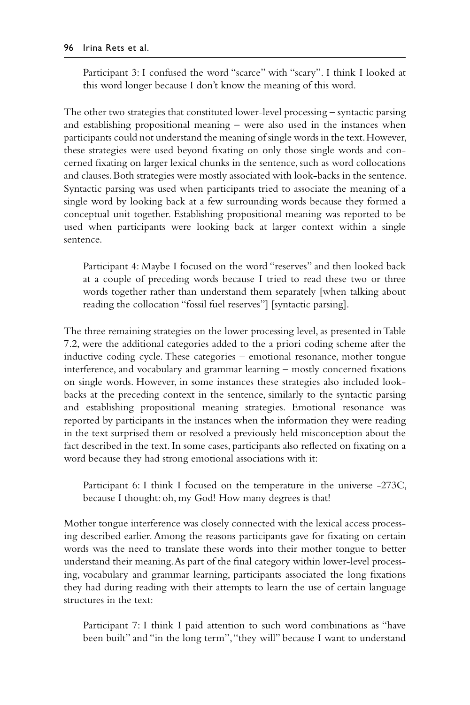Participant 3: I confused the word "scarce" with "scary". I think I looked at this word longer because I don't know the meaning of this word.

The other two strategies that constituted lower-level processing – syntactic parsing and establishing propositional meaning – were also used in the instances when participants could not understand the meaning of single words in the text. However, these strategies were used beyond fixating on only those single words and concerned fixating on larger lexical chunks in the sentence, such as word collocations and clauses. Both strategies were mostly associated with look-backs in the sentence. Syntactic parsing was used when participants tried to associate the meaning of a single word by looking back at a few surrounding words because they formed a conceptual unit together. Establishing propositional meaning was reported to be used when participants were looking back at larger context within a single sentence.

Participant 4: Maybe I focused on the word "reserves" and then looked back at a couple of preceding words because I tried to read these two or three words together rather than understand them separately [when talking about reading the collocation "fossil fuel reserves"] [syntactic parsing].

The three remaining strategies on the lower processing level, as presented in Table 7.2, were the additional categories added to the a priori coding scheme after the inductive coding cycle. These categories – emotional resonance, mother tongue interference, and vocabulary and grammar learning – mostly concerned fixations on single words. However, in some instances these strategies also included lookbacks at the preceding context in the sentence, similarly to the syntactic parsing and establishing propositional meaning strategies. Emotional resonance was reported by participants in the instances when the information they were reading in the text surprised them or resolved a previously held misconception about the fact described in the text. In some cases, participants also reflected on fixating on a word because they had strong emotional associations with it:

Participant 6: I think I focused on the temperature in the universe -273C, because I thought: oh, my God! How many degrees is that!

Mother tongue interference was closely connected with the lexical access processing described earlier. Among the reasons participants gave for fixating on certain words was the need to translate these words into their mother tongue to better understand their meaning. As part of the final category within lower-level processing, vocabulary and grammar learning, participants associated the long fixations they had during reading with their attempts to learn the use of certain language structures in the text:

Participant 7: I think I paid attention to such word combinations as "have been built" and "in the long term", "they will" because I want to understand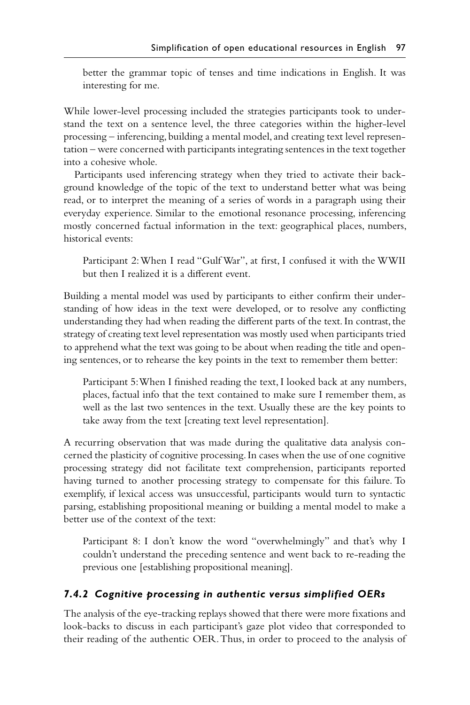better the grammar topic of tenses and time indications in English. It was interesting for me.

While lower-level processing included the strategies participants took to understand the text on a sentence level, the three categories within the higher-level processing – inferencing, building a mental model, and creating text level representation – were concerned with participants integrating sentences in the text together into a cohesive whole.

Participants used inferencing strategy when they tried to activate their background knowledge of the topic of the text to understand better what was being read, or to interpret the meaning of a series of words in a paragraph using their everyday experience. Similar to the emotional resonance processing, inferencing mostly concerned factual information in the text: geographical places, numbers, historical events:

Participant 2: When I read "Gulf War", at first, I confused it with the WWII but then I realized it is a different event.

Building a mental model was used by participants to either confirm their understanding of how ideas in the text were developed, or to resolve any conflicting understanding they had when reading the different parts of the text. In contrast, the strategy of creating text level representation was mostly used when participants tried to apprehend what the text was going to be about when reading the title and opening sentences, or to rehearse the key points in the text to remember them better:

Participant 5: When I finished reading the text, I looked back at any numbers, places, factual info that the text contained to make sure I remember them, as well as the last two sentences in the text. Usually these are the key points to take away from the text [creating text level representation].

A recurring observation that was made during the qualitative data analysis concerned the plasticity of cognitive processing. In cases when the use of one cognitive processing strategy did not facilitate text comprehension, participants reported having turned to another processing strategy to compensate for this failure. To exemplify, if lexical access was unsuccessful, participants would turn to syntactic parsing, establishing propositional meaning or building a mental model to make a better use of the context of the text:

Participant 8: I don't know the word "overwhelmingly" and that's why I couldn't understand the preceding sentence and went back to re-reading the previous one [establishing propositional meaning].

# *7.4.2 Cognitive processing in authentic versus simplified OERs*

The analysis of the eye-tracking replays showed that there were more fixations and look-backs to discuss in each participant's gaze plot video that corresponded to their reading of the authentic OER. Thus, in order to proceed to the analysis of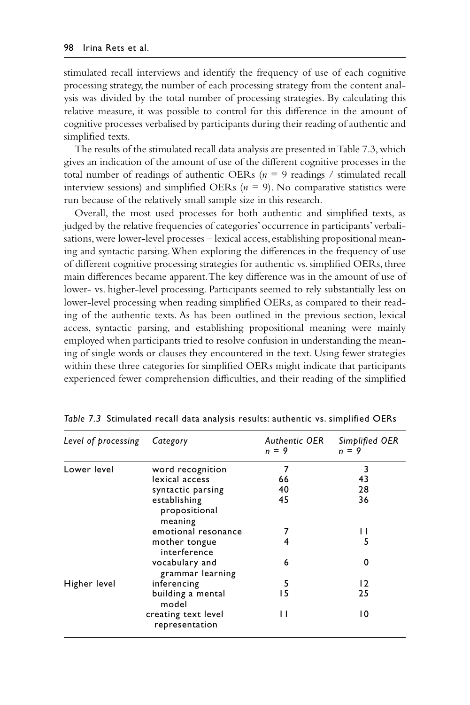stimulated recall interviews and identify the frequency of use of each cognitive processing strategy, the number of each processing strategy from the content analysis was divided by the total number of processing strategies. By calculating this relative measure, it was possible to control for this difference in the amount of cognitive processes verbalised by participants during their reading of authentic and simplified texts.

The results of the stimulated recall data analysis are presented in Table 7.3, which gives an indication of the amount of use of the different cognitive processes in the total number of readings of authentic OERs  $(n = 9 \text{ readings} / \text{stimulated recall})$ interview sessions) and simplified OERs  $(n = 9)$ . No comparative statistics were run because of the relatively small sample size in this research.

Overall, the most used processes for both authentic and simplified texts, as judged by the relative frequencies of categories' occurrence in participants' verbalisations, were lower-level processes – lexical access, establishing propositional meaning and syntactic parsing. When exploring the differences in the frequency of use of different cognitive processing strategies for authentic vs. simplified OERs, three main differences became apparent. The key difference was in the amount of use of lower- vs. higher-level processing. Participants seemed to rely substantially less on lower-level processing when reading simplified OERs, as compared to their reading of the authentic texts. As has been outlined in the previous section, lexical access, syntactic parsing, and establishing propositional meaning were mainly employed when participants tried to resolve confusion in understanding the meaning of single words or clauses they encountered in the text. Using fewer strategies within these three categories for simplified OERs might indicate that participants experienced fewer comprehension difficulties, and their reading of the simplified

| Level of processing | Category                                 | Authentic OER<br>$n = 9$ | Simplified OER<br>$n = 9$ |
|---------------------|------------------------------------------|--------------------------|---------------------------|
| Lower level         | word recognition                         | 7                        | 3                         |
|                     | lexical access                           | 66                       | 43                        |
|                     | syntactic parsing                        | 40                       | 28                        |
|                     | establishing<br>propositional<br>meaning | 45                       | 36                        |
|                     | emotional resonance                      |                          | H                         |
|                     | mother tongue<br>interference            | 4                        | 5                         |
|                     | vocabulary and<br>grammar learning       | 6                        | 0                         |
| Higher level        | inferencing                              | 5                        | 12                        |
|                     | building a mental<br>model               | 15                       | 25                        |
|                     | creating text level<br>representation    | Н                        | 10                        |

*Table 7.3* [Stimulated recall data analysis results: authentic vs. simplified OERs](#page--1-0)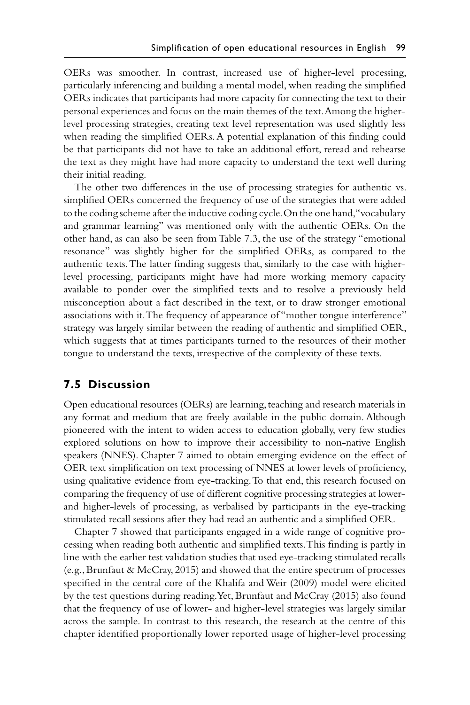OERs was smoother. In contrast, increased use of higher-level processing, particularly inferencing and building a mental model, when reading the simplified OERs indicates that participants had more capacity for connecting the text to their personal experiences and focus on the main themes of the text. Among the higherlevel processing strategies, creating text level representation was used slightly less when reading the simplified OERs. A potential explanation of this finding could be that participants did not have to take an additional effort, reread and rehearse the text as they might have had more capacity to understand the text well during their initial reading.

The other two differences in the use of processing strategies for authentic vs. simplified OERs concerned the frequency of use of the strategies that were added to the coding scheme after the inductive coding cycle. On the one hand, "vocabulary and grammar learning" was mentioned only with the authentic OERs. On the other hand, as can also be seen from Table 7.3, the use of the strategy "emotional resonance" was slightly higher for the simplified OERs, as compared to the authentic texts. The latter finding suggests that, similarly to the case with higherlevel processing, participants might have had more working memory capacity available to ponder over the simplified texts and to resolve a previously held misconception about a fact described in the text, or to draw stronger emotional associations with it. The frequency of appearance of "mother tongue interference" strategy was largely similar between the reading of authentic and simplified OER, which suggests that at times participants turned to the resources of their mother tongue to understand the texts, irrespective of the complexity of these texts.

# **7.5 Discussion**

Open educational resources (OERs) are learning, teaching and research materials in any format and medium that are freely available in the public domain. Although pioneered with the intent to widen access to education globally, very few studies explored solutions on how to improve their accessibility to non-native English speakers (NNES). Chapter 7 aimed to obtain emerging evidence on the effect of OER text simplification on text processing of NNES at lower levels of proficiency, using qualitative evidence from eye-tracking. To that end, this research focused on comparing the frequency of use of different cognitive processing strategies at lowerand higher-levels of processing, as verbalised by participants in the eye-tracking stimulated recall sessions after they had read an authentic and a simplified OER.

Chapter 7 showed that participants engaged in a wide range of cognitive processing when reading both authentic and simplified texts. This finding is partly in line with the earlier test validation studies that used eye-tracking stimulated recalls (e.g., Brunfaut & McCray, 2015) and showed that the entire spectrum of processes specified in the central core of the Khalifa and Weir (2009) model were elicited by the test questions during reading. Yet, Brunfaut and McCray (2015) also found that the frequency of use of lower- and higher-level strategies was largely similar across the sample. In contrast to this research, the research at the centre of this chapter identified proportionally lower reported usage of higher-level processing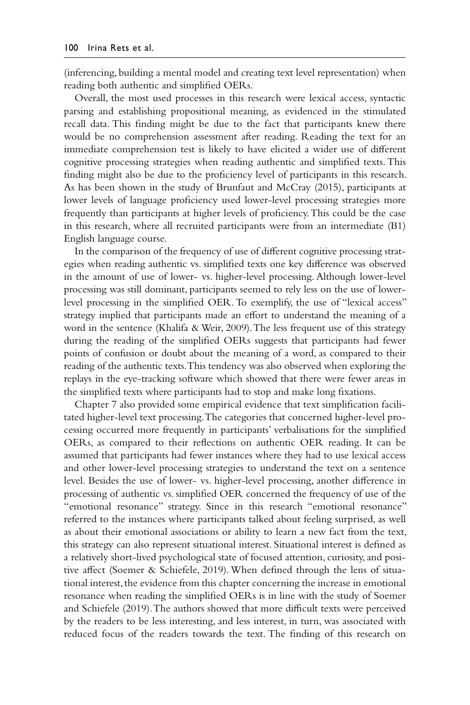(inferencing, building a mental model and creating text level representation) when reading both authentic and simplified OERs.

Overall, the most used processes in this research were lexical access, syntactic parsing and establishing propositional meaning, as evidenced in the stimulated recall data. This finding might be due to the fact that participants knew there would be no comprehension assessment after reading. Reading the text for an immediate comprehension test is likely to have elicited a wider use of different cognitive processing strategies when reading authentic and simplified texts. This finding might also be due to the proficiency level of participants in this research. As has been shown in the study of Brunfaut and McCray (2015), participants at lower levels of language proficiency used lower-level processing strategies more frequently than participants at higher levels of proficiency. This could be the case in this research, where all recruited participants were from an intermediate (B1) English language course.

In the comparison of the frequency of use of different cognitive processing strategies when reading authentic vs. simplified texts one key difference was observed in the amount of use of lower- vs. higher-level processing. Although lower-level processing was still dominant, participants seemed to rely less on the use of lowerlevel processing in the simplified OER. To exemplify, the use of "lexical access" strategy implied that participants made an effort to understand the meaning of a word in the sentence (Khalifa & Weir, 2009). The less frequent use of this strategy during the reading of the simplified OERs suggests that participants had fewer points of confusion or doubt about the meaning of a word, as compared to their reading of the authentic texts. This tendency was also observed when exploring the replays in the eye-tracking software which showed that there were fewer areas in the simplified texts where participants had to stop and make long fixations.

Chapter 7 also provided some empirical evidence that text simplification facilitated higher-level text processing. The categories that concerned higher-level processing occurred more frequently in participants' verbalisations for the simplified OERs, as compared to their reflections on authentic OER reading. It can be assumed that participants had fewer instances where they had to use lexical access and other lower-level processing strategies to understand the text on a sentence level. Besides the use of lower- vs. higher-level processing, another difference in processing of authentic vs. simplified OER concerned the frequency of use of the "emotional resonance" strategy. Since in this research "emotional resonance" referred to the instances where participants talked about feeling surprised, as well as about their emotional associations or ability to learn a new fact from the text, this strategy can also represent situational interest. Situational interest is defined as a relatively short-lived psychological state of focused attention, curiosity, and positive affect (Soemer & Schiefele, 2019). When defined through the lens of situational interest, the evidence from this chapter concerning the increase in emotional resonance when reading the simplified OERs is in line with the study of Soemer and Schiefele (2019). The authors showed that more difficult texts were perceived by the readers to be less interesting, and less interest, in turn, was associated with reduced focus of the readers towards the text. The finding of this research on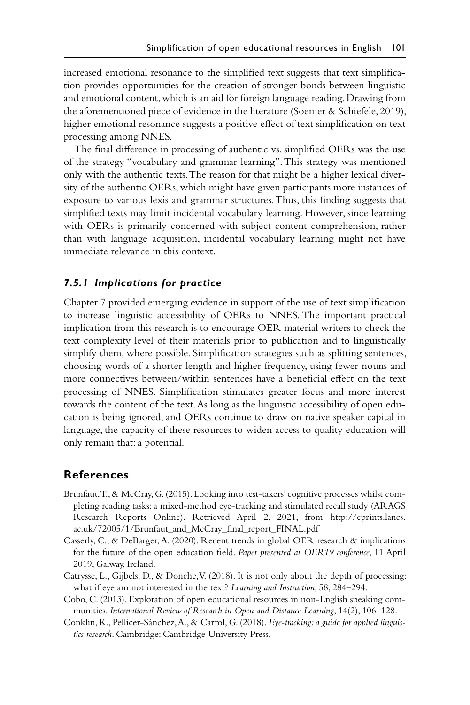increased emotional resonance to the simplified text suggests that text simplification provides opportunities for the creation of stronger bonds between linguistic and emotional content, which is an aid for foreign language reading. Drawing from the aforementioned piece of evidence in the literature (Soemer & Schiefele, 2019), higher emotional resonance suggests a positive effect of text simplification on text processing among NNES.

The final difference in processing of authentic vs. simplified OERs was the use of the strategy "vocabulary and grammar learning". This strategy was mentioned only with the authentic texts. The reason for that might be a higher lexical diversity of the authentic OERs, which might have given participants more instances of exposure to various lexis and grammar structures. Thus, this finding suggests that simplified texts may limit incidental vocabulary learning. However, since learning with OERs is primarily concerned with subject content comprehension, rather than with language acquisition, incidental vocabulary learning might not have immediate relevance in this context.

#### *7.5.1 Implications for practice*

Chapter 7 provided emerging evidence in support of the use of text simplification to increase linguistic accessibility of OERs to NNES. The important practical implication from this research is to encourage OER material writers to check the text complexity level of their materials prior to publication and to linguistically simplify them, where possible. Simplification strategies such as splitting sentences, choosing words of a shorter length and higher frequency, using fewer nouns and more connectives between/within sentences have a beneficial effect on the text processing of NNES. Simplification stimulates greater focus and more interest towards the content of the text. As long as the linguistic accessibility of open education is being ignored, and OERs continue to draw on native speaker capital in language, the capacity of these resources to widen access to quality education will only remain that: a potential.

## **References**

- Brunfaut, T., & McCray, G. (2015). Looking into test-takers' cognitive processes whilst completing reading tasks: a mixed-method eye-tracking and stimulated recall study (ARAGS Research Reports Online). Retrieved April 2, 2021, from [http://eprints.lancs.](http://eprints.lancs.ac.uk) [ac.uk/72005/1/Brunfaut\\_and\\_McCray\\_final\\_report\\_FINAL.pdf](http://eprints.lancs.ac.uk)
- Casserly, C., & DeBarger, A. (2020). Recent trends in global OER research & implications for the future of the open education field. *Paper presented at OER19 conference*, 11 April 2019, Galway, Ireland.
- Catrysse, L., Gijbels, D., & Donche, V. (2018). It is not only about the depth of processing: what if eye am not interested in the text? *Learning and Instruction*, 58, 284–294.
- Cobo, C. (2013). Exploration of open educational resources in non-English speaking communities. *International Review of Research in Open and Distance Learning*, 14(2), 106–128.
- Conklin, K., Pellicer-Sánchez, A., & Carrol, G. (2018). *Eye-tracking: a guide for applied linguistics research*. Cambridge: Cambridge University Press.